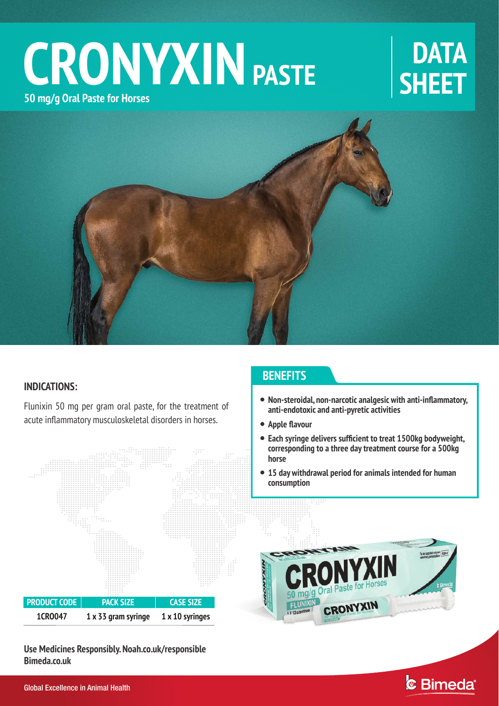# $CRONYXIN$  **PASTE** SHEET **50 mg/g Oral Paste for Horses**



### **INDICATIONS:**

Flunixin 50 mg per gram oral paste, for the treatment of acute inflammatory musculoskeletal disorders in horses.



**Use Medicines Responsibly. Noah.co.uk/responsible Bimeda.co.uk**

### **BENEFITS**

- **Non-steroidal, non-narcotic analgesic with anti-inflammatory, anti-endotoxic and anti-pyretic activities**
- **Apple flavour**
- **Each syringe delivers sufficient to treat 1500kg bodyweight, corresponding to a three day treatment course for a 500kg horse**
- **15 day withdrawal period for animals intended for human consumption**